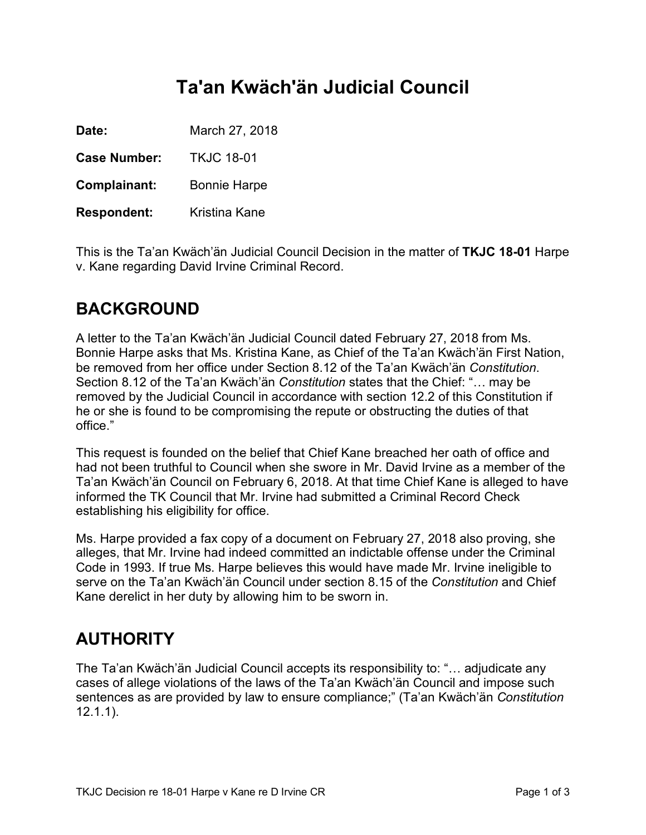# **Ta'an Kwäch'än Judicial Council**

**Date:** March 27, 2018

**Case Number:** TKJC 18-01

**Complainant:** Bonnie Harpe

**Respondent:** Kristina Kane

This is the Ta'an Kwäch'än Judicial Council Decision in the matter of **TKJC 18-01** Harpe v. Kane regarding David Irvine Criminal Record.

## **BACKGROUND**

A letter to the Ta'an Kwäch'än Judicial Council dated February 27, 2018 from Ms. Bonnie Harpe asks that Ms. Kristina Kane, as Chief of the Ta'an Kwäch'än First Nation, be removed from her office under Section 8.12 of the Ta'an Kwäch'än *Constitution*. Section 8.12 of the Ta'an Kwäch'än *Constitution* states that the Chief: "… may be removed by the Judicial Council in accordance with section 12.2 of this Constitution if he or she is found to be compromising the repute or obstructing the duties of that office."

This request is founded on the belief that Chief Kane breached her oath of office and had not been truthful to Council when she swore in Mr. David Irvine as a member of the Ta'an Kwäch'än Council on February 6, 2018. At that time Chief Kane is alleged to have informed the TK Council that Mr. Irvine had submitted a Criminal Record Check establishing his eligibility for office.

Ms. Harpe provided a fax copy of a document on February 27, 2018 also proving, she alleges, that Mr. Irvine had indeed committed an indictable offense under the Criminal Code in 1993. If true Ms. Harpe believes this would have made Mr. Irvine ineligible to serve on the Ta'an Kwäch'än Council under section 8.15 of the *Constitution* and Chief Kane derelict in her duty by allowing him to be sworn in.

# **AUTHORITY**

The Ta'an Kwäch'än Judicial Council accepts its responsibility to: "… adjudicate any cases of allege violations of the laws of the Ta'an Kwäch'än Council and impose such sentences as are provided by law to ensure compliance;" (Ta'an Kwäch'än *Constitution* 12.1.1).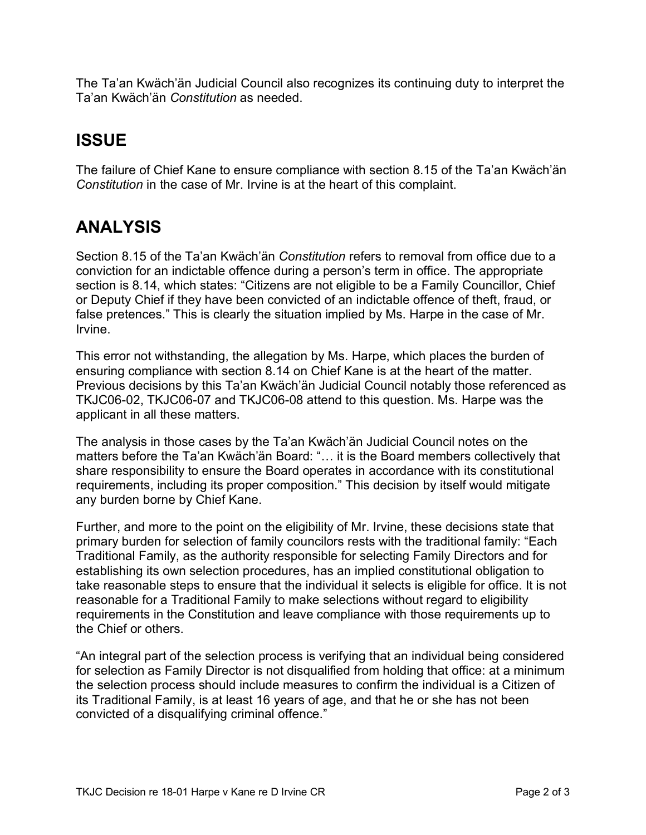The Ta'an Kwäch'än Judicial Council also recognizes its continuing duty to interpret the Ta'an Kwäch'än *Constitution* as needed.

# **ISSUE**

The failure of Chief Kane to ensure compliance with section 8.15 of the Ta'an Kwäch'än *Constitution* in the case of Mr. Irvine is at the heart of this complaint.

#### **ANALYSIS**

Section 8.15 of the Ta'an Kwäch'än *Constitution* refers to removal from office due to a conviction for an indictable offence during a person's term in office. The appropriate section is 8.14, which states: "Citizens are not eligible to be a Family Councillor, Chief or Deputy Chief if they have been convicted of an indictable offence of theft, fraud, or false pretences." This is clearly the situation implied by Ms. Harpe in the case of Mr. Irvine.

This error not withstanding, the allegation by Ms. Harpe, which places the burden of ensuring compliance with section 8.14 on Chief Kane is at the heart of the matter. Previous decisions by this Ta'an Kwäch'än Judicial Council notably those referenced as TKJC06-02, TKJC06-07 and TKJC06-08 attend to this question. Ms. Harpe was the applicant in all these matters.

The analysis in those cases by the Ta'an Kwäch'än Judicial Council notes on the matters before the Ta'an Kwäch'än Board: "… it is the Board members collectively that share responsibility to ensure the Board operates in accordance with its constitutional requirements, including its proper composition." This decision by itself would mitigate any burden borne by Chief Kane.

Further, and more to the point on the eligibility of Mr. Irvine, these decisions state that primary burden for selection of family councilors rests with the traditional family: "Each Traditional Family, as the authority responsible for selecting Family Directors and for establishing its own selection procedures, has an implied constitutional obligation to take reasonable steps to ensure that the individual it selects is eligible for office. It is not reasonable for a Traditional Family to make selections without regard to eligibility requirements in the Constitution and leave compliance with those requirements up to the Chief or others.

"An integral part of the selection process is verifying that an individual being considered for selection as Family Director is not disqualified from holding that office: at a minimum the selection process should include measures to confirm the individual is a Citizen of its Traditional Family, is at least 16 years of age, and that he or she has not been convicted of a disqualifying criminal offence."